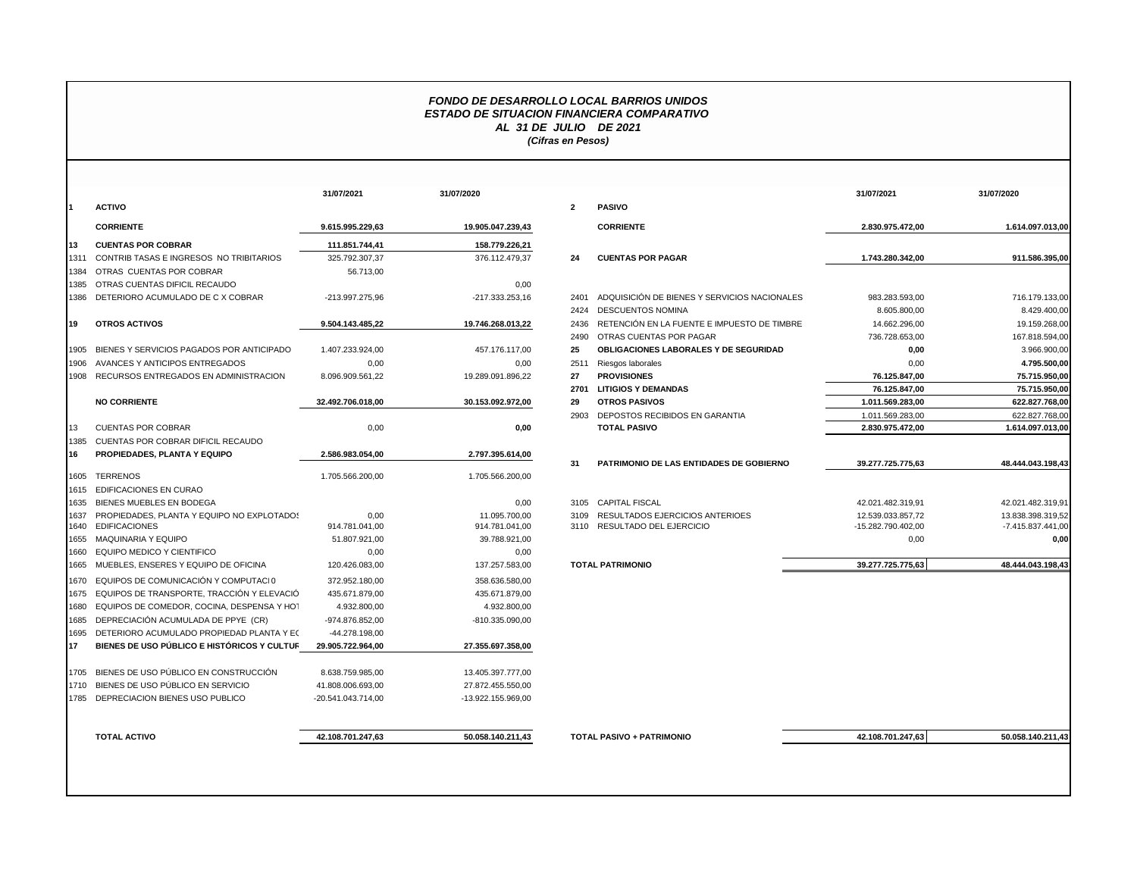## *FONDO DE DESARROLLO LOCAL BARRIOS UNIDOS ESTADO DE SITUACION FINANCIERA COMPARATIVO AL 31 DE JULIO DE 2021 (Cifras en Pesos)*

|                                             | 31/07/2021         | 31/07/2020         |                   |                     |
|---------------------------------------------|--------------------|--------------------|-------------------|---------------------|
|                                             |                    |                    | $\overline{2}$    | <b>PASIVO</b>       |
|                                             | 9.615.995.229,63   | 19.905.047.239,43  |                   | <b>CORRIE</b>       |
| <b>CUENTAS POR COBRAR</b>                   | 111.851.744,41     | 158.779.226,21     |                   |                     |
| CONTRIB TASAS E INGRESOS NO TRIBITARIOS     | 325.792.307,37     | 376.112.479,37     | 24                | <b>CUENT/</b>       |
| OTRAS CUENTAS POR COBRAR                    | 56.713.00          |                    |                   |                     |
| OTRAS CUENTAS DIFICIL RECAUDO               |                    | 0.00               |                   |                     |
| DETERIORO ACUMULADO DE C X COBRAR           | -213.997.275,96    | -217.333.253.16    | 2401              | <b>ADQUIS</b>       |
|                                             |                    |                    | 2424              | <b>DESCUI</b>       |
| OTROS ACTIVOS                               | 9.504.143.485,22   | 19.746.268.013,22  | 2436              | <b>RETENO</b>       |
|                                             |                    |                    | 2490              | <b>OTRAS</b>        |
| BIENES Y SERVICIOS PAGADOS POR ANTICIPADO   | 1.407.233.924.00   | 457.176.117,00     | 25                | <b>OBLIGA</b>       |
| AVANCES Y ANTICIPOS ENTREGADOS              | 0.00               | 0.00               | 2511              | Riesgos             |
| RECURSOS ENTREGADOS EN ADMINISTRACION       | 8.096.909.561.22   | 19.289.091.896.22  | 27                | <b>PROVIS</b>       |
|                                             |                    |                    | 2701              | <b>LITIGIO</b>      |
| <b>NO CORRIENTE</b>                         | 32.492.706.018.00  | 30.153.092.972,00  | 29                | <b>OTROS</b>        |
|                                             |                    |                    | 2903              | DEPOS <sup>-</sup>  |
| <b>CUENTAS POR COBRAR</b>                   | 0,00               | 0,00               |                   | <b>TOTAL</b>        |
| CUENTAS POR COBRAR DIFICIL RECAUDO          |                    |                    |                   |                     |
| PROPIEDADES, PLANTA Y EQUIPO                | 2.586.983.054,00   | 2.797.395.614,00   |                   |                     |
|                                             |                    |                    | 31                | <b>PATRIM</b>       |
|                                             | 1.705.566.200,00   | 1.705.566.200,00   |                   |                     |
| EDIFICACIONES EN CURAO                      |                    |                    |                   |                     |
| BIENES MUEBLES EN BODEGA                    |                    | 0.00               |                   | 3105 CAPITAL        |
| PROPIEDADES. PLANTA Y EQUIPO NO EXPLOTADOS  | 0.00               | 11.095.700.00      |                   | 3109 RESULT         |
| <b>EDIFICACIONES</b>                        | 914.781.041,00     | 914.781.041,00     |                   | 3110 RESULT         |
| 1655 MAQUINARIA Y EQUIPO                    | 51.807.921,00      | 39.788.921,00      |                   |                     |
| EQUIPO MEDICO Y CIENTIFICO                  | 0.00               | 0.00               |                   |                     |
| MUEBLES, ENSERES Y EQUIPO DE OFICINA        | 120.426.083,00     | 137.257.583,00     |                   | <b>TOTAL PATRIN</b> |
| EQUIPOS DE COMUNICACIÓN Y COMPUTACIO        | 372.952.180,00     | 358.636.580,00     |                   |                     |
| EQUIPOS DE TRANSPORTE. TRACCIÓN Y ELEVACIÓ  | 435.671.879.00     | 435.671.879.00     |                   |                     |
| EQUIPOS DE COMEDOR, COCINA, DESPENSA Y HOT  | 4.932.800.00       | 4.932.800.00       |                   |                     |
| DEPRECIACIÓN ACUMULADA DE PPYE (CR)         | -974.876.852,00    | -810.335.090,00    |                   |                     |
| DETERIORO ACUMULADO PROPIEDAD PLANTA Y EC   | -44.278.198,00     |                    |                   |                     |
| BIENES DE USO PÚBLICO E HISTÓRICOS Y CULTUR | 29.905.722.964,00  | 27.355.697.358,00  |                   |                     |
| BIENES DE USO PÚBLICO EN CONSTRUCCIÓN       | 8.638.759.985,00   | 13.405.397.777,00  |                   |                     |
| BIENES DE USO PÚBLICO EN SERVICIO           | 41.808.006.693.00  | 27.872.455.550,00  |                   |                     |
| DEPRECIACION BIENES USO PUBLICO             | -20.541.043.714.00 | -13.922.155.969.00 |                   |                     |
|                                             |                    |                    |                   | <b>TOTAL PASIVO</b> |
| <b>TOTAL ACTIVO</b>                         |                    | 42.108.701.247.63  | 50.058.140.211,43 |                     |

|      |                                                                       | 31/07/2021             | 31/07/2020                      |                         |                                                            | 31/07/2021                              | 31/07/2020                             |
|------|-----------------------------------------------------------------------|------------------------|---------------------------------|-------------------------|------------------------------------------------------------|-----------------------------------------|----------------------------------------|
|      | <b>ACTIVO</b>                                                         |                        |                                 | $\overline{\mathbf{2}}$ | <b>PASIVO</b>                                              |                                         |                                        |
|      | <b>CORRIENTE</b>                                                      | 9.615.995.229,63       | 19.905.047.239,43               |                         | <b>CORRIENTE</b>                                           | 2.830.975.472,00                        | 1.614.097.013,00                       |
| 13   | <b>CUENTAS POR COBRAR</b>                                             | 111.851.744.41         | 158.779.226.21                  |                         |                                                            |                                         |                                        |
| 1311 | CONTRIB TASAS E INGRESOS NO TRIBITARIOS                               | 325.792.307.37         | 376.112.479.37                  | 24                      | <b>CUENTAS POR PAGAR</b>                                   | 1.743.280.342.00                        | 911.586.395.00                         |
| 1384 | OTRAS CUENTAS POR COBRAR                                              | 56.713.00              |                                 |                         |                                                            |                                         |                                        |
| 385  | OTRAS CUENTAS DIFICIL RECAUDO                                         |                        | 0,00                            |                         |                                                            |                                         |                                        |
| 1386 | DETERIORO ACUMULADO DE C X COBRAR                                     | -213.997.275,96        | $-217.333.253.16$               | 2401                    | ADQUISICIÓN DE BIENES Y SERVICIOS NACIONALES               | 983.283.593,00                          | 716.179.133,00                         |
|      |                                                                       |                        |                                 | 2424                    | <b>DESCUENTOS NOMINA</b>                                   | 8.605.800,00                            | 8.429.400,00                           |
| 19   | <b>OTROS ACTIVOS</b>                                                  | 9.504.143.485,22       | 19.746.268.013,22               | 2436                    | RETENCIÓN EN LA FUENTE E IMPUESTO DE TIMBRE                | 14.662.296,00                           | 19.159.268,00                          |
|      |                                                                       |                        |                                 | 2490                    | OTRAS CUENTAS POR PAGAR                                    | 736.728.653,00                          | 167.818.594,00                         |
|      | 1905 BIENES Y SERVICIOS PAGADOS POR ANTICIPADO                        | 1.407.233.924,00       | 457.176.117,00                  | 25                      | <b>OBLIGACIONES LABORALES Y DE SEGURIDAD</b>               | 0,00                                    | 3.966.900,00                           |
| 1906 | AVANCES Y ANTICIPOS ENTREGADOS                                        | 0,00                   | 0,00                            | 2511                    | Riesgos laborales                                          | 0,00                                    | 4.795.500,00                           |
|      | 1908 RECURSOS ENTREGADOS EN ADMINISTRACION                            | 8.096.909.561,22       | 19.289.091.896,22               | 27                      | <b>PROVISIONES</b>                                         | 76.125.847,00                           | 75.715.950,00                          |
|      |                                                                       |                        |                                 | 2701                    | <b>LITIGIOS Y DEMANDAS</b>                                 | 76.125.847,00                           | 75.715.950,00                          |
|      | <b>NO CORRIENTE</b>                                                   | 32.492.706.018.00      | 30.153.092.972,00               | 29                      | <b>OTROS PASIVOS</b>                                       | 1.011.569.283.00                        | 622.827.768,00                         |
|      |                                                                       |                        |                                 | 2903                    | DEPOSTOS RECIBIDOS EN GARANTIA                             | 1.011.569.283,00                        | 622.827.768,00                         |
| 13   | <b>CUENTAS POR COBRAR</b>                                             | 0,00                   | 0,00                            |                         | <b>TOTAL PASIVO</b>                                        | 2.830.975.472,00                        | 1.614.097.013,00                       |
| 1385 | CUENTAS POR COBRAR DIFICIL RECAUDO                                    |                        |                                 |                         |                                                            |                                         |                                        |
| 16   | PROPIEDADES, PLANTA Y EQUIPO                                          | 2.586.983.054.00       | 2.797.395.614,00                |                         |                                                            |                                         |                                        |
|      |                                                                       |                        |                                 | 31                      | PATRIMONIO DE LAS ENTIDADES DE GOBIERNO                    | 39.277.725.775.63                       | 48.444.043.198,43                      |
| 1605 | <b>TERRENOS</b>                                                       | 1.705.566.200,00       | 1.705.566.200.00                |                         |                                                            |                                         |                                        |
|      | 1615 EDIFICACIONES EN CURAO                                           |                        |                                 |                         |                                                            |                                         |                                        |
| 1635 | BIENES MUEBLES EN BODEGA                                              |                        | 0,00                            | 3105                    | <b>CAPITAL FISCAL</b>                                      | 42.021.482.319,91                       | 42.021.482.319,91                      |
|      | 1637 PROPIEDADES, PLANTA Y EQUIPO NO EXPLOTADOS<br>1640 EDIFICACIONES | 0,00<br>914.781.041,00 | 11.095.700,00<br>914.781.041,00 | 3109<br>3110            | RESULTADOS EJERCICIOS ANTERIOES<br>RESULTADO DEL EJERCICIO | 12.539.033.857,72<br>-15.282.790.402,00 | 13.838.398.319,52<br>-7.415.837.441,00 |
|      | 1655 MAQUINARIA Y EQUIPO                                              | 51.807.921,00          | 39.788.921,00                   |                         |                                                            | 0,00                                    | 0,00                                   |
| 1660 | EQUIPO MEDICO Y CIENTIFICO                                            | 0,00                   | 0,00                            |                         |                                                            |                                         |                                        |
| 1665 | MUEBLES, ENSERES Y EQUIPO DE OFICINA                                  | 120.426.083.00         | 137.257.583,00                  |                         | <b>TOTAL PATRIMONIO</b>                                    | 39.277.725.775,63                       | 48.444.043.198,43                      |
|      | 1670 EQUIPOS DE COMUNICACIÓN Y COMPUTACI 0                            | 372.952.180.00         | 358.636.580.00                  |                         |                                                            |                                         |                                        |
|      | 1675 EQUIPOS DE TRANSPORTE, TRACCIÓN Y ELEVACIÓ                       | 435.671.879,00         | 435.671.879,00                  |                         |                                                            |                                         |                                        |
|      | 1680 EQUIPOS DE COMEDOR, COCINA, DESPENSA Y HOT                       | 4.932.800.00           | 4.932.800.00                    |                         |                                                            |                                         |                                        |
|      | 1685 DEPRECIACIÓN ACUMULADA DE PPYE (CR)                              | -974.876.852,00        | -810.335.090,00                 |                         |                                                            |                                         |                                        |
|      | 1695 DETERIORO ACUMULADO PROPIEDAD PLANTA Y EC                        | -44.278.198,00         |                                 |                         |                                                            |                                         |                                        |
| 17   | BIENES DE USO PÚBLICO E HISTÓRICOS Y CULTUR                           | 29.905.722.964,00      | 27.355.697.358,00               |                         |                                                            |                                         |                                        |
|      |                                                                       |                        |                                 |                         |                                                            |                                         |                                        |
|      | 1705 BIENES DE USO PÚBLICO EN CONSTRUCCIÓN                            | 8.638.759.985,00       | 13.405.397.777,00               |                         |                                                            |                                         |                                        |
|      | 1710 BIENES DE USO PÚBLICO EN SERVICIO                                | 41.808.006.693.00      | 27.872.455.550,00               |                         |                                                            |                                         |                                        |
|      | 1785 DEPRECIACION BIENES USO PUBLICO                                  | -20.541.043.714,00     | -13.922.155.969,00              |                         |                                                            |                                         |                                        |
|      |                                                                       |                        |                                 |                         | TOTAL PASIVO + PATRIMONIO                                  |                                         | 50.058.140.211,43                      |
|      |                                                                       |                        |                                 |                         |                                                            |                                         |                                        |
|      | <b>TOTAL ACTIVO</b>                                                   | 42.108.701.247,63      | 50.058.140.211,43               |                         |                                                            |                                         | 42.108.701.247,63                      |